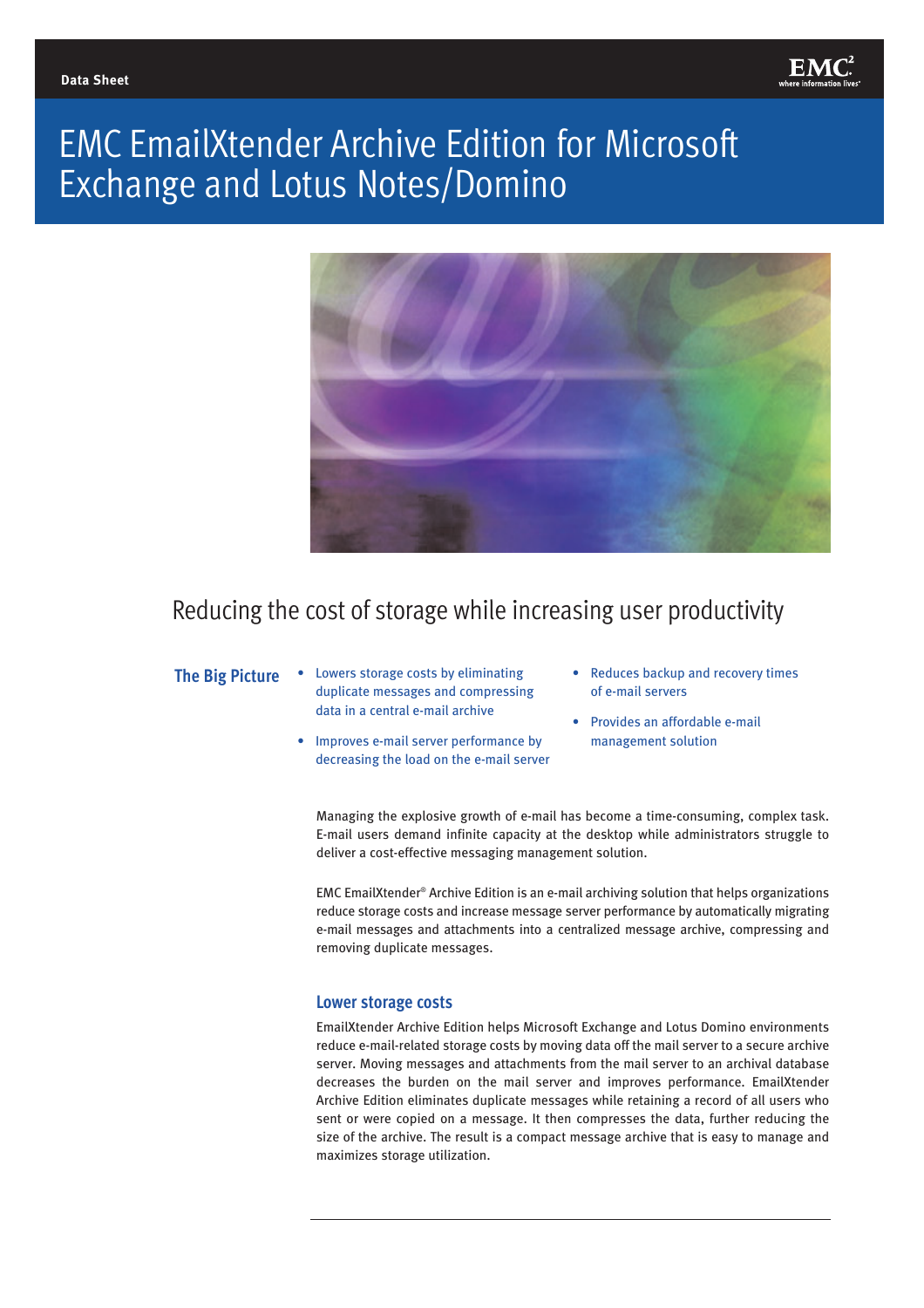

# EMC EmailXtender Archive Edition for Microsoft Exchange and Lotus Notes/Domino



Reducing the cost of storage while increasing user productivity

- **The Big Picture** Lowers storage costs by eliminating duplicate messages and compressing data in a central e-mail archive
	- Improves e-mail server performance by decreasing the load on the e-mail server
- Reduces backup and recovery times of e-mail servers
- Provides an affordable e-mail management solution

Managing the explosive growth of e-mail has become a time-consuming, complex task. E-mail users demand infinite capacity at the desktop while administrators struggle to deliver a cost-effective messaging management solution.

EMC EmailXtender® Archive Edition is an e-mail archiving solution that helps organizations reduce storage costs and increase message server performance by automatically migrating e-mail messages and attachments into a centralized message archive, compressing and removing duplicate messages.

#### **Lower storage costs**

EmailXtender Archive Edition helps Microsoft Exchange and Lotus Domino environments reduce e-mail-related storage costs by moving data off the mail server to a secure archive server. Moving messages and attachments from the mail server to an archival database decreases the burden on the mail server and improves performance. EmailXtender Archive Edition eliminates duplicate messages while retaining a record of all users who sent or were copied on a message. It then compresses the data, further reducing the size of the archive. The result is a compact message archive that is easy to manage and maximizes storage utilization.